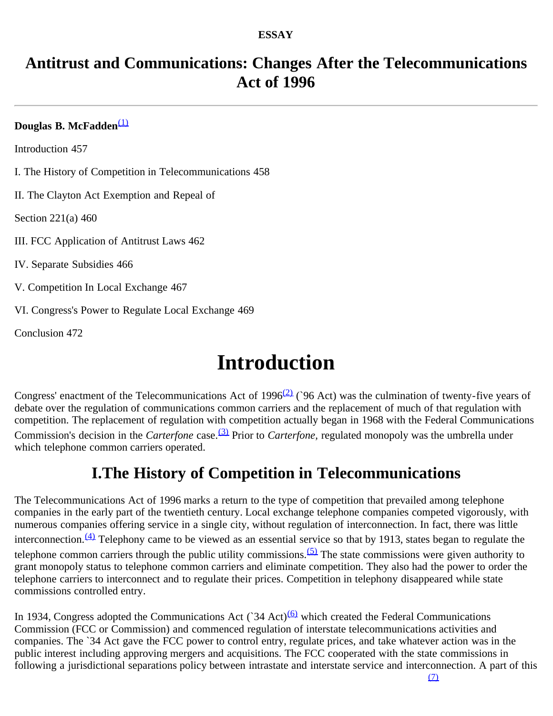#### **ESSAY**

### **Antitrust and Communications: Changes After the Telecommunications Act of 1996**

#### **Douglas B. McFadden**<sup>[\(1\)](#page-6-0)</sup>

Introduction 457

I. The History of Competition in Telecommunications 458

II. The Clayton Act Exemption and Repeal of

Section 221(a) 460

III. FCC Application of Antitrust Laws 462

IV. Separate Subsidies 466

V. Competition In Local Exchange 467

VI. Congress's Power to Regulate Local Exchange 469

Conclusion 472

# **Introduction**

Congress' enactment of the Telecommunications Act of 1996<sup>[\(2\)](#page-7-0)</sup> (`96 Act) was the culmination of twenty-five years of debate over the regulation of communications common carriers and the replacement of much of that regulation with competition. The replacement of regulation with competition actually began in 1968 with the Federal Communications Commission's decision in the *Carterfone* case.<sup>(3)</sup> Prior to *Carterfone*, regulated monopoly was the umbrella under which telephone common carriers operated.

### **I.The History of Competition in Telecommunications**

The Telecommunications Act of 1996 marks a return to the type of competition that prevailed among telephone companies in the early part of the twentieth century. Local exchange telephone companies competed vigorously, with numerous companies offering service in a single city, without regulation of interconnection. In fact, there was little interconnection. $\frac{(4)}{4}$  $\frac{(4)}{4}$  $\frac{(4)}{4}$  Telephony came to be viewed as an essential service so that by 1913, states began to regulate the telephone common carriers through the public utility commissions.<sup>[\(5\)](#page-7-3)</sup> The state commissions were given authority to grant monopoly status to telephone common carriers and eliminate competition. They also had the power to order the telephone carriers to interconnect and to regulate their prices. Competition in telephony disappeared while state commissions controlled entry.

In 1934, Congress adopted the Communications Act ( $34$  Act)<sup>[\(6\)](#page-7-4)</sup> which created the Federal Communications Commission (FCC or Commission) and commenced regulation of interstate telecommunications activities and companies. The `34 Act gave the FCC power to control entry, regulate prices, and take whatever action was in the public interest including approving mergers and acquisitions. The FCC cooperated with the state commissions in following a jurisdictional separations policy between intrastate and interstate service and interconnection. A part of this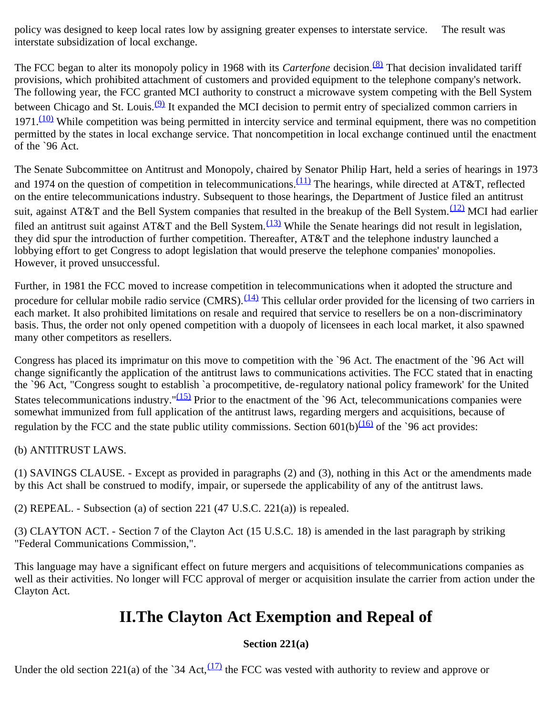policy was designed to keep local rates low by assigning greater expenses to interstate service. The result was interstate subsidization of local exchange.

The FCC began to alter its monopoly policy in 1968 with its *Carterfone* decision.<sup>(8)</sup> That decision invalidated tariff provisions, which prohibited attachment of customers and provided equipment to the telephone company's network. The following year, the FCC granted MCI authority to construct a microwave system competing with the Bell System between Chicago and St. Louis.<sup>[\(9\)](#page-7-7)</sup> It expanded the MCI decision to permit entry of specialized common carriers in  $1971<sup>(10)</sup>$  While competition was being permitted in intercity service and terminal equipment, there was no competition permitted by the states in local exchange service. That noncompetition in local exchange continued until the enactment of the `96 Act.

The Senate Subcommittee on Antitrust and Monopoly, chaired by Senator Philip Hart, held a series of hearings in 1973 and 1974 on the question of competition in telecommunications. $(11)$  The hearings, while directed at AT&T, reflected on the entire telecommunications industry. Subsequent to those hearings, the Department of Justice filed an antitrust suit, against AT&T and the Bell System companies that resulted in the breakup of the Bell System.<sup>(12)</sup> MCI had earlier filed an antitrust suit against AT&T and the Bell System.<sup>(13)</sup> While the Senate hearings did not result in legislation, they did spur the introduction of further competition. Thereafter, AT&T and the telephone industry launched a lobbying effort to get Congress to adopt legislation that would preserve the telephone companies' monopolies. However, it proved unsuccessful.

Further, in 1981 the FCC moved to increase competition in telecommunications when it adopted the structure and procedure for cellular mobile radio service (CMRS). $\frac{(14)}{10}$  This cellular order provided for the licensing of two carriers in each market. It also prohibited limitations on resale and required that service to resellers be on a non-discriminatory basis. Thus, the order not only opened competition with a duopoly of licensees in each local market, it also spawned many other competitors as resellers.

Congress has placed its imprimatur on this move to competition with the `96 Act. The enactment of the `96 Act will change significantly the application of the antitrust laws to communications activities. The FCC stated that in enacting the `96 Act, "Congress sought to establish `a procompetitive, de-regulatory national policy framework' for the United States telecommunications industry." $(15)$  Prior to the enactment of the `96 Act, telecommunications companies were somewhat immunized from full application of the antitrust laws, regarding mergers and acquisitions, because of regulation by the FCC and the state public utility commissions. Section  $601(b)$ <sup>(16)</sup> of the `96 act provides:

(b) ANTITRUST LAWS.

(1) SAVINGS CLAUSE. - Except as provided in paragraphs (2) and (3), nothing in this Act or the amendments made by this Act shall be construed to modify, impair, or supersede the applicability of any of the antitrust laws.

(2) REPEAL. - Subsection (a) of section 221 (47 U.S.C. 221(a)) is repealed.

(3) CLAYTON ACT. - Section 7 of the Clayton Act (15 U.S.C. 18) is amended in the last paragraph by striking "Federal Communications Commission,".

This language may have a significant effect on future mergers and acquisitions of telecommunications companies as well as their activities. No longer will FCC approval of merger or acquisition insulate the carrier from action under the Clayton Act.

### **II.The Clayton Act Exemption and Repeal of**

### **Section 221(a)**

Under the old section 221(a) of the `34 Act, $\frac{(17)}{12}$  the FCC was vested with authority to review and approve or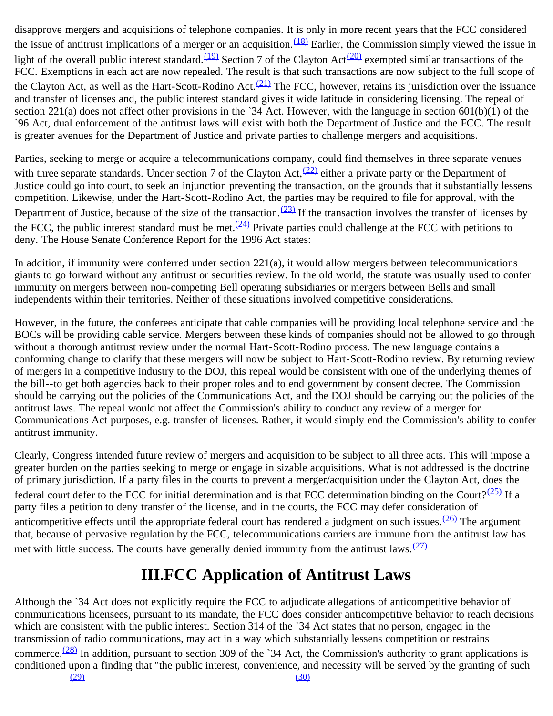disapprove mergers and acquisitions of telephone companies. It is only in more recent years that the FCC considered the issue of antitrust implications of a merger or an acquisition.  $(18)$  Earlier, the Commission simply viewed the issue in light of the overall public interest standard.<sup>(19)</sup> Section 7 of the Clayton Act<sup>(20)</sup> exempted similar transactions of the FCC. Exemptions in each act are now repealed. The result is that such transactions are now subject to the full scope of the Clayton Act, as well as the Hart-Scott-Rodino Act.<sup>(21)</sup> The FCC, however, retains its jurisdiction over the issuance and transfer of licenses and, the public interest standard gives it wide latitude in considering licensing. The repeal of section 221(a) does not affect other provisions in the `34 Act. However, with the language in section  $601(b)(1)$  of the `96 Act, dual enforcement of the antitrust laws will exist with both the Department of Justice and the FCC. The result is greater avenues for the Department of Justice and private parties to challenge mergers and acquisitions.

Parties, seeking to merge or acquire a telecommunications company, could find themselves in three separate venues with three separate standards. Under section 7 of the Clayton Act, $(22)$  either a private party or the Department of Justice could go into court, to seek an injunction preventing the transaction, on the grounds that it substantially lessens competition. Likewise, under the Hart-Scott-Rodino Act, the parties may be required to file for approval, with the Department of Justice, because of the size of the transaction.<sup>(23)</sup> If the transaction involves the transfer of licenses by the FCC, the public interest standard must be met.<sup> $(24)$ </sup> Private parties could challenge at the FCC with petitions to deny. The House Senate Conference Report for the 1996 Act states:

In addition, if immunity were conferred under section 221(a), it would allow mergers between telecommunications giants to go forward without any antitrust or securities review. In the old world, the statute was usually used to confer immunity on mergers between non-competing Bell operating subsidiaries or mergers between Bells and small independents within their territories. Neither of these situations involved competitive considerations.

However, in the future, the conferees anticipate that cable companies will be providing local telephone service and the BOCs will be providing cable service. Mergers between these kinds of companies should not be allowed to go through without a thorough antitrust review under the normal Hart-Scott-Rodino process. The new language contains a conforming change to clarify that these mergers will now be subject to Hart-Scott-Rodino review. By returning review of mergers in a competitive industry to the DOJ, this repeal would be consistent with one of the underlying themes of the bill--to get both agencies back to their proper roles and to end government by consent decree. The Commission should be carrying out the policies of the Communications Act, and the DOJ should be carrying out the policies of the antitrust laws. The repeal would not affect the Commission's ability to conduct any review of a merger for Communications Act purposes, e.g. transfer of licenses. Rather, it would simply end the Commission's ability to confer antitrust immunity.

Clearly, Congress intended future review of mergers and acquisition to be subject to all three acts. This will impose a greater burden on the parties seeking to merge or engage in sizable acquisitions. What is not addressed is the doctrine of primary jurisdiction. If a party files in the courts to prevent a merger/acquisition under the Clayton Act, does the federal court defer to the FCC for initial determination and is that FCC determination binding on the Court?<sup>(25)</sup> If a party files a petition to deny transfer of the license, and in the courts, the FCC may defer consideration of anticompetitive effects until the appropriate federal court has rendered a judgment on such issues.  $(26)$  The argument that, because of pervasive regulation by the FCC, telecommunications carriers are immune from the antitrust law has met with little success. The courts have generally denied immunity from the antitrust laws. $(27)$ 

### **III.FCC Application of Antitrust Laws**

Although the `34 Act does not explicitly require the FCC to adjudicate allegations of anticompetitive behavior of communications licensees, pursuant to its mandate, the FCC does consider anticompetitive behavior to reach decisions which are consistent with the public interest. Section 314 of the `34 Act states that no person, engaged in the transmission of radio communications, may act in a way which substantially lessens competition or restrains commerce.<sup> $(28)$ </sup> In addition, pursuant to section 309 of the `34 Act, the Commission's authority to grant applications is conditioned upon a finding that "the public interest, convenience, and necessity will be served by the granting of such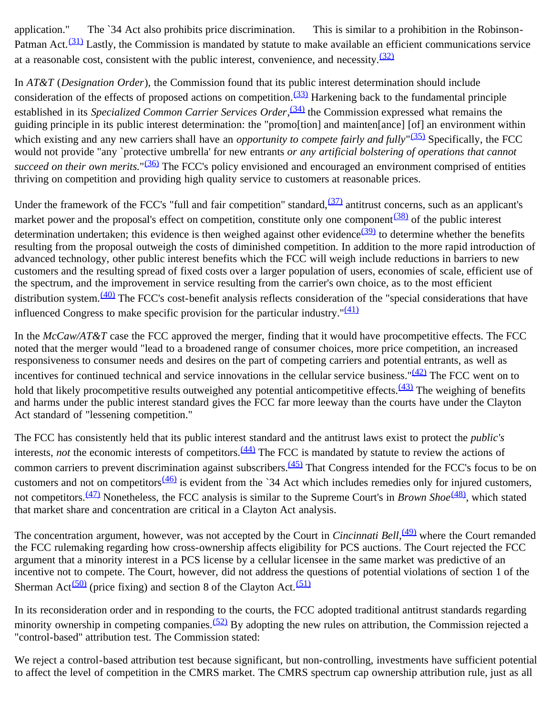application." The `34 Act also prohibits price discrimination. This is similar to a prohibition in the Robinson-Patman Act. $(31)$  Lastly, the Commission is mandated by statute to make available an efficient communications service at a reasonable cost, consistent with the public interest, convenience, and necessity. $\frac{(32)}{2}$  $\frac{(32)}{2}$  $\frac{(32)}{2}$ 

In *AT&T* (*Designation Order*), the Commission found that its public interest determination should include consideration of the effects of proposed actions on competition. $(33)$  Harkening back to the fundamental principle established in its *Specialized Common Carrier Services Order*,<sup>(34)</sup> the Commission expressed what remains the guiding principle in its public interest determination: the "promo[tion] and mainten[ance] [of] an environment within which existing and any new carriers shall have an *opportunity to compete fairly and fully*<sup>"(35)</sup> Specifically, the FCC would not provide "any `protective umbrella' for new entrants *or any artificial bolstering of operations that cannot succeed on their own merits.*"[\(36\)](#page-8-17) The FCC's policy envisioned and encouraged an environment comprised of entities thriving on competition and providing high quality service to customers at reasonable prices.

Under the framework of the FCC's "full and fair competition" standard, $\frac{(37)}{27}$  antitrust concerns, such as an applicant's market power and the proposal's effect on competition, constitute only one component<sup>(38)</sup> of the public interest determination undertaken; this evidence is then weighed against other evidence $\frac{(39)}{(39)}$  to determine whether the benefits resulting from the proposal outweigh the costs of diminished competition. In addition to the more rapid introduction of advanced technology, other public interest benefits which the FCC will weigh include reductions in barriers to new customers and the resulting spread of fixed costs over a larger population of users, economies of scale, efficient use of the spectrum, and the improvement in service resulting from the carrier's own choice, as to the most efficient distribution system.<sup>(40)</sup> The FCC's cost-benefit analysis reflects consideration of the "special considerations that have influenced Congress to make specific provision for the particular industry." $\frac{(41)}{2}$  $\frac{(41)}{2}$  $\frac{(41)}{2}$ 

In the *McCaw/AT&T* case the FCC approved the merger, finding that it would have procompetitive effects. The FCC noted that the merger would "lead to a broadened range of consumer choices, more price competition, an increased responsiveness to consumer needs and desires on the part of competing carriers and potential entrants, as well as incentives for continued technical and service innovations in the cellular service business." $(42)$  The FCC went on to hold that likely procompetitive results outweighed any potential anticompetitive effects.  $(43)$  The weighing of benefits and harms under the public interest standard gives the FCC far more leeway than the courts have under the Clayton Act standard of "lessening competition."

The FCC has consistently held that its public interest standard and the antitrust laws exist to protect the *public's* interests, *not* the economic interests of competitors.<sup>(44)</sup> The FCC is mandated by statute to review the actions of common carriers to prevent discrimination against subscribers.<sup>(45)</sup> That Congress intended for the FCC's focus to be on customers and not on competitors  $\frac{(46)}{2}$  is evident from the `34 Act which includes remedies only for injured customers, not competitors.[\(47\)](#page-9-8) Nonetheless, the FCC analysis is similar to the Supreme Court's in *Brown Shoe*[\(48\),](#page-9-9) which stated that market share and concentration are critical in a Clayton Act analysis.

The concentration argument, however, was not accepted by the Court in *Cincinnati Bell*, <sup>(49)</sup> where the Court remanded the FCC rulemaking regarding how cross-ownership affects eligibility for PCS auctions. The Court rejected the FCC argument that a minority interest in a PCS license by a cellular licensee in the same market was predictive of an incentive not to compete. The Court, however, did not address the questions of potential violations of section 1 of the Sherman Act<sup>(50)</sup> (price fixing) and section 8 of the Clayton Act.<sup>[\(51\)](#page-9-12)</sup>

In its reconsideration order and in responding to the courts, the FCC adopted traditional antitrust standards regarding minority ownership in competing companies.<sup>(52)</sup> By adopting the new rules on attribution, the Commission rejected a "control-based" attribution test. The Commission stated:

We reject a control-based attribution test because significant, but non-controlling, investments have sufficient potential to affect the level of competition in the CMRS market. The CMRS spectrum cap ownership attribution rule, just as all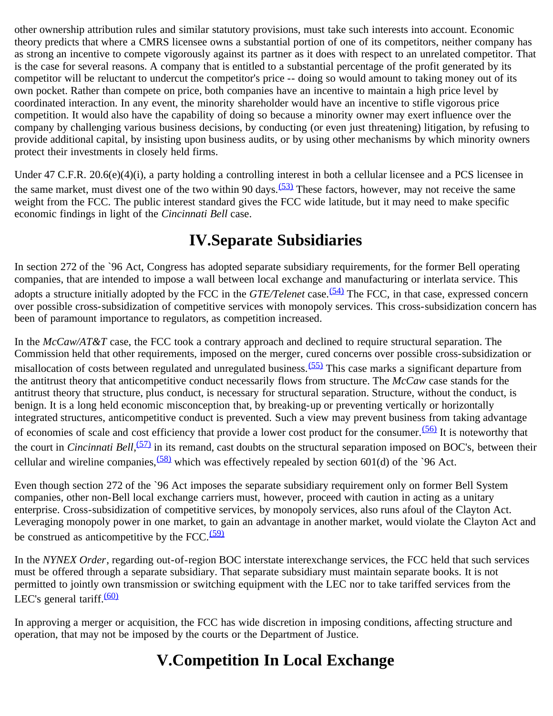other ownership attribution rules and similar statutory provisions, must take such interests into account. Economic theory predicts that where a CMRS licensee owns a substantial portion of one of its competitors, neither company has as strong an incentive to compete vigorously against its partner as it does with respect to an unrelated competitor. That is the case for several reasons. A company that is entitled to a substantial percentage of the profit generated by its competitor will be reluctant to undercut the competitor's price -- doing so would amount to taking money out of its own pocket. Rather than compete on price, both companies have an incentive to maintain a high price level by coordinated interaction. In any event, the minority shareholder would have an incentive to stifle vigorous price competition. It would also have the capability of doing so because a minority owner may exert influence over the company by challenging various business decisions, by conducting (or even just threatening) litigation, by refusing to provide additional capital, by insisting upon business audits, or by using other mechanisms by which minority owners protect their investments in closely held firms.

Under 47 C.F.R. 20.6(e)(4)(i), a party holding a controlling interest in both a cellular licensee and a PCS licensee in the same market, must divest one of the two within 90 days.<sup>(53)</sup> These factors, however, may not receive the same weight from the FCC. The public interest standard gives the FCC wide latitude, but it may need to make specific economic findings in light of the *Cincinnati Bell* case.

### **IV.Separate Subsidiaries**

In section 272 of the `96 Act, Congress has adopted separate subsidiary requirements, for the former Bell operating companies, that are intended to impose a wall between local exchange and manufacturing or interlata service. This adopts a structure initially adopted by the FCC in the *GTE/Telenet* case.<sup>(54)</sup> The FCC, in that case, expressed concern over possible cross-subsidization of competitive services with monopoly services. This cross-subsidization concern has been of paramount importance to regulators, as competition increased.

In the *McCaw/AT&T* case, the FCC took a contrary approach and declined to require structural separation. The Commission held that other requirements, imposed on the merger, cured concerns over possible cross-subsidization or misallocation of costs between regulated and unregulated business.<sup>(55)</sup> This case marks a significant departure from the antitrust theory that anticompetitive conduct necessarily flows from structure. The *McCaw* case stands for the antitrust theory that structure, plus conduct, is necessary for structural separation. Structure, without the conduct, is benign. It is a long held economic misconception that, by breaking-up or preventing vertically or horizontally integrated structures, anticompetitive conduct is prevented. Such a view may prevent business from taking advantage of economies of scale and cost efficiency that provide a lower cost product for the consumer.<sup>(56)</sup> It is noteworthy that the court in *Cincinnati Bell*,<sup>(57)</sup> in its remand, cast doubts on the structural separation imposed on BOC's, between their cellular and wireline companies,  $(58)$  which was effectively repealed by section 601(d) of the `96 Act.

Even though section 272 of the `96 Act imposes the separate subsidiary requirement only on former Bell System companies, other non-Bell local exchange carriers must, however, proceed with caution in acting as a unitary enterprise. Cross-subsidization of competitive services, by monopoly services, also runs afoul of the Clayton Act. Leveraging monopoly power in one market, to gain an advantage in another market, would violate the Clayton Act and be construed as anticompetitive by the FCC. $(59)$ 

In the *NYNEX Order*, regarding out-of-region BOC interstate interexchange services, the FCC held that such services must be offered through a separate subsidiary. That separate subsidiary must maintain separate books. It is not permitted to jointly own transmission or switching equipment with the LEC nor to take tariffed services from the LEC's general tariff. $(60)$ 

In approving a merger or acquisition, the FCC has wide discretion in imposing conditions, affecting structure and operation, that may not be imposed by the courts or the Department of Justice.

## **V.Competition In Local Exchange**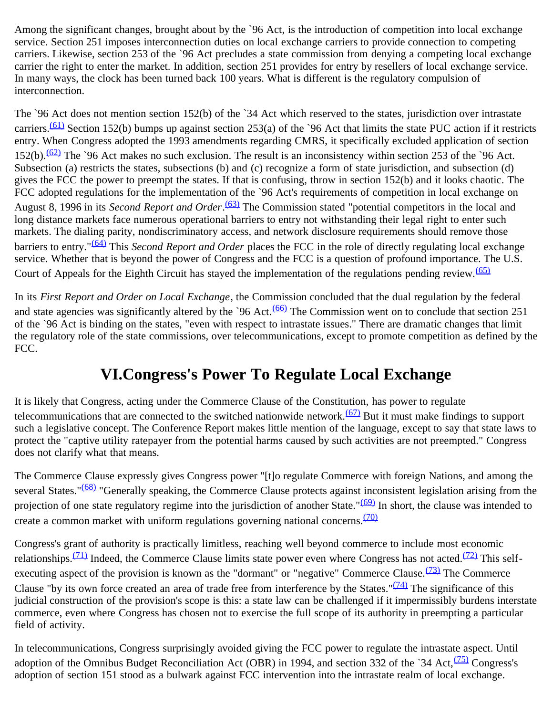Among the significant changes, brought about by the `96 Act, is the introduction of competition into local exchange service. Section 251 imposes interconnection duties on local exchange carriers to provide connection to competing carriers. Likewise, section 253 of the `96 Act precludes a state commission from denying a competing local exchange carrier the right to enter the market. In addition, section 251 provides for entry by resellers of local exchange service. In many ways, the clock has been turned back 100 years. What is different is the regulatory compulsion of interconnection.

The `96 Act does not mention section 152(b) of the `34 Act which reserved to the states, jurisdiction over intrastate carriers.<sup>(61)</sup> Section 152(b) bumps up against section 253(a) of the `96 Act that limits the state PUC action if it restricts entry. When Congress adopted the 1993 amendments regarding CMRS, it specifically excluded application of section 152(b). $\frac{(62)}{2}$  The `96 Act makes no such exclusion. The result is an inconsistency within section 253 of the `96 Act. Subsection (a) restricts the states, subsections (b) and (c) recognize a form of state jurisdiction, and subsection (d) gives the FCC the power to preempt the states. If that is confusing, throw in section 152(b) and it looks chaotic. The FCC adopted regulations for the implementation of the `96 Act's requirements of competition in local exchange on August 8, 1996 in its *Second Report and Order*.<sup>(63)</sup> The Commission stated "potential competitors in the local and long distance markets face numerous operational barriers to entry not withstanding their legal right to enter such markets. The dialing parity, nondiscriminatory access, and network disclosure requirements should remove those barriers to entry."[\(64\)](#page-10-5) This *Second Report and Order* places the FCC in the role of directly regulating local exchange service. Whether that is beyond the power of Congress and the FCC is a question of profound importance. The U.S. Court of Appeals for the Eighth Circuit has stayed the implementation of the regulations pending review.<sup>[\(65\)](#page-10-6)</sup>

In its *First Report and Order on Local Exchange*, the Commission concluded that the dual regulation by the federal and state agencies was significantly altered by the `96 Act. $(66)$  The Commission went on to conclude that section 251 of the `96 Act is binding on the states, "even with respect to intrastate issues." There are dramatic changes that limit the regulatory role of the state commissions, over telecommunications, except to promote competition as defined by the FCC.

### **VI.Congress's Power To Regulate Local Exchange**

It is likely that Congress, acting under the Commerce Clause of the Constitution, has power to regulate telecommunications that are connected to the switched nationwide network.<sup>(67)</sup> But it must make findings to support such a legislative concept. The Conference Report makes little mention of the language, except to say that state laws to protect the "captive utility ratepayer from the potential harms caused by such activities are not preempted." Congress does not clarify what that means.

The Commerce Clause expressly gives Congress power "[t]o regulate Commerce with foreign Nations, and among the several States."<sup>(68)</sup> "Generally speaking, the Commerce Clause protects against inconsistent legislation arising from the projection of one state regulatory regime into the jurisdiction of another State."<sup>(69)</sup> In short, the clause was intended to create a common market with uniform regulations governing national concerns.<sup>[\(70\)](#page-10-11)</sup>

Congress's grant of authority is practically limitless, reaching well beyond commerce to include most economic relationships.<sup>(71)</sup> Indeed, the Commerce Clause limits state power even where Congress has not acted.<sup>(72)</sup> This selfexecuting aspect of the provision is known as the "dormant" or "negative" Commerce Clause. $\frac{(73)}{100}$  The Commerce Clause "by its own force created an area of trade free from interference by the States." $(74)$  The significance of this judicial construction of the provision's scope is this: a state law can be challenged if it impermissibly burdens interstate commerce, even where Congress has chosen not to exercise the full scope of its authority in preempting a particular field of activity.

In telecommunications, Congress surprisingly avoided giving the FCC power to regulate the intrastate aspect. Until adoption of the Omnibus Budget Reconciliation Act (OBR) in 1994, and section 332 of the `34 Act, $(75)$  Congress's adoption of section 151 stood as a bulwark against FCC intervention into the intrastate realm of local exchange.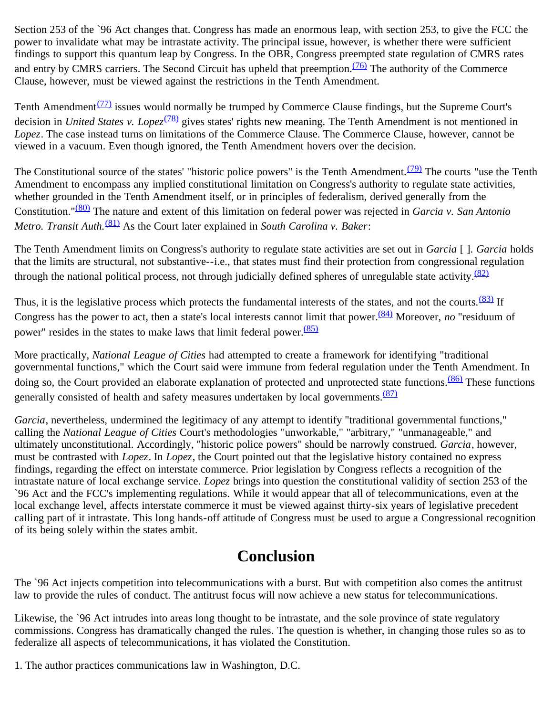Section 253 of the `96 Act changes that. Congress has made an enormous leap, with section 253, to give the FCC the power to invalidate what may be intrastate activity. The principal issue, however, is whether there were sufficient findings to support this quantum leap by Congress. In the OBR, Congress preempted state regulation of CMRS rates and entry by CMRS carriers. The Second Circuit has upheld that preemption.<sup>(76)</sup> The authority of the Commerce Clause, however, must be viewed against the restrictions in the Tenth Amendment.

Tenth Amendment<sup> $(77)$ </sup> issues would normally be trumped by Commerce Clause findings, but the Supreme Court's decision in *United States v. Lopez*<sup>(78)</sup> gives states' rights new meaning. The Tenth Amendment is not mentioned in *Lopez*. The case instead turns on limitations of the Commerce Clause. The Commerce Clause, however, cannot be viewed in a vacuum. Even though ignored, the Tenth Amendment hovers over the decision.

The Constitutional source of the states' "historic police powers" is the Tenth Amendment. $(79)$  The courts "use the Tenth Amendment to encompass any implied constitutional limitation on Congress's authority to regulate state activities, whether grounded in the Tenth Amendment itself, or in principles of federalism, derived generally from the Constitution."[\(80\)](#page-10-21) The nature and extent of this limitation on federal power was rejected in *Garcia v. San Antonio Metro. Transit Auth.*[\(81\)](#page-11-0) As the Court later explained in *South Carolina v. Baker*:

The Tenth Amendment limits on Congress's authority to regulate state activities are set out in *Garcia* [ ]. *Garcia* holds that the limits are structural, not substantive--i.e., that states must find their protection from congressional regulation through the national political process, not through judicially defined spheres of unregulable state activity. $\frac{(82)}{2}$  $\frac{(82)}{2}$  $\frac{(82)}{2}$ 

Thus, it is the legislative process which protects the fundamental interests of the states, and not the courts.<sup>(83)</sup> If Congress has the power to act, then a state's local interests cannot limit that power.[\(84\)](#page-11-3) Moreover, *no* "residuum of power" resides in the states to make laws that limit federal power.  $(85)$ 

More practically, *National League of Cities* had attempted to create a framework for identifying "traditional governmental functions," which the Court said were immune from federal regulation under the Tenth Amendment. In doing so, the Court provided an elaborate explanation of protected and unprotected state functions.<sup>(86)</sup> These functions generally consisted of health and safety measures undertaken by local governments. $(87)$ 

*Garcia*, nevertheless, undermined the legitimacy of any attempt to identify "traditional governmental functions," calling the *National League of Cities* Court's methodologies "unworkable," "arbitrary," "unmanageable," and ultimately unconstitutional. Accordingly, "historic police powers" should be narrowly construed. *Garcia*, however, must be contrasted with *Lopez*. In *Lopez*, the Court pointed out that the legislative history contained no express findings, regarding the effect on interstate commerce. Prior legislation by Congress reflects a recognition of the intrastate nature of local exchange service. *Lopez* brings into question the constitutional validity of section 253 of the `96 Act and the FCC's implementing regulations. While it would appear that all of telecommunications, even at the local exchange level, affects interstate commerce it must be viewed against thirty-six years of legislative precedent calling part of it intrastate. This long hands-off attitude of Congress must be used to argue a Congressional recognition of its being solely within the states ambit.

### **Conclusion**

The `96 Act injects competition into telecommunications with a burst. But with competition also comes the antitrust law to provide the rules of conduct. The antitrust focus will now achieve a new status for telecommunications.

Likewise, the `96 Act intrudes into areas long thought to be intrastate, and the sole province of state regulatory commissions. Congress has dramatically changed the rules. The question is whether, in changing those rules so as to federalize all aspects of telecommunications, it has violated the Constitution.

<span id="page-6-0"></span>1. The author practices communications law in Washington, D.C.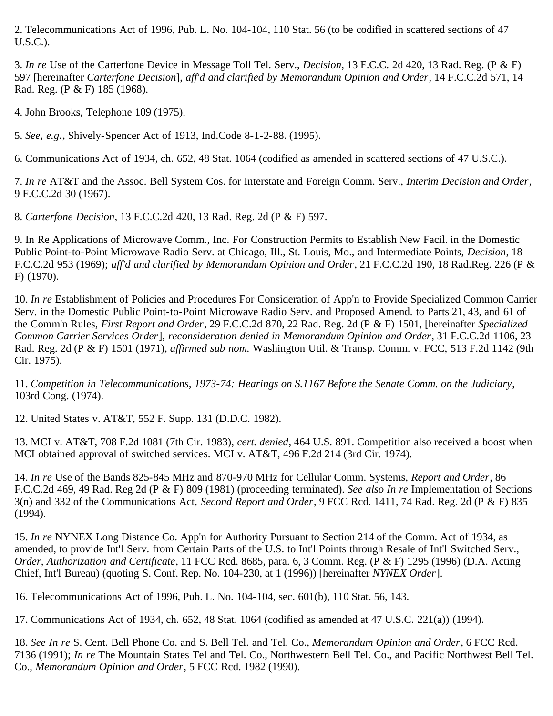<span id="page-7-0"></span>2. Telecommunications Act of 1996, Pub. L. No. 104-104, 110 Stat. 56 (to be codified in scattered sections of 47 U.S.C.).

<span id="page-7-1"></span>3. *In re* Use of the Carterfone Device in Message Toll Tel. Serv., *Decision*, 13 F.C.C. 2d 420, 13 Rad. Reg. (P & F) 597 [hereinafter *Carterfone Decision*], *aff'd and clarified by Memorandum Opinion and Order*, 14 F.C.C.2d 571, 14 Rad. Reg. (P & F) 185 (1968).

<span id="page-7-2"></span>4. John Brooks, Telephone 109 (1975).

<span id="page-7-3"></span>5. *See, e.g.*, Shively-Spencer Act of 1913, Ind.Code 8-1-2-88. (1995).

<span id="page-7-4"></span>6. Communications Act of 1934, ch. 652, 48 Stat. 1064 (codified as amended in scattered sections of 47 U.S.C.).

<span id="page-7-5"></span>7. *In re* AT&T and the Assoc. Bell System Cos. for Interstate and Foreign Comm. Serv., *Interim Decision and Order*, 9 F.C.C.2d 30 (1967).

<span id="page-7-6"></span>8. *Carterfone Decision*, 13 F.C.C.2d 420, 13 Rad. Reg. 2d (P & F) 597.

<span id="page-7-7"></span>9. In Re Applications of Microwave Comm., Inc. For Construction Permits to Establish New Facil. in the Domestic Public Point-to-Point Microwave Radio Serv. at Chicago, Ill., St. Louis, Mo., and Intermediate Points, *Decision*, 18 F.C.C.2d 953 (1969); *aff'd and clarified by Memorandum Opinion and Order*, 21 F.C.C.2d 190, 18 Rad.Reg. 226 (P & F) (1970).

<span id="page-7-8"></span>10. *In re* Establishment of Policies and Procedures For Consideration of App'n to Provide Specialized Common Carrier Serv. in the Domestic Public Point-to-Point Microwave Radio Serv. and Proposed Amend. to Parts 21, 43, and 61 of the Comm'n Rules, *First Report and Order*, 29 F.C.C.2d 870, 22 Rad. Reg. 2d (P & F) 1501, [hereinafter *Specialized Common Carrier Services Order*], *reconsideration denied in Memorandum Opinion and Order*, 31 F.C.C.2d 1106, 23 Rad. Reg. 2d (P & F) 1501 (1971), *affirmed sub nom.* Washington Util. & Transp. Comm. v. FCC, 513 F.2d 1142 (9th Cir. 1975).

<span id="page-7-9"></span>11. *Competition in Telecommunications, 1973-74: Hearings on S.1167 Before the Senate Comm. on the Judiciary*, 103rd Cong. (1974).

<span id="page-7-10"></span>12. United States v. AT&T, 552 F. Supp. 131 (D.D.C. 1982).

<span id="page-7-11"></span>13. MCI v. AT&T, 708 F.2d 1081 (7th Cir. 1983), *cert. denied*, 464 U.S. 891. Competition also received a boost when MCI obtained approval of switched services. MCI v. AT&T, 496 F.2d 214 (3rd Cir. 1974).

<span id="page-7-12"></span>14. *In re* Use of the Bands 825-845 MHz and 870-970 MHz for Cellular Comm. Systems, *Report and Order*, 86 F.C.C.2d 469, 49 Rad. Reg 2d (P & F) 809 (1981) (proceeding terminated). *See also In re* Implementation of Sections 3(n) and 332 of the Communications Act, *Second Report and Order*, 9 FCC Rcd. 1411, 74 Rad. Reg. 2d (P & F) 835 (1994).

<span id="page-7-13"></span>15. *In re* NYNEX Long Distance Co. App'n for Authority Pursuant to Section 214 of the Comm. Act of 1934, as amended, to provide Int'l Serv. from Certain Parts of the U.S. to Int'l Points through Resale of Int'l Switched Serv., *Order, Authorization and Certificate*, 11 FCC Rcd. 8685, para. 6, 3 Comm. Reg. (P & F) 1295 (1996) (D.A. Acting Chief, Int'l Bureau) (quoting S. Conf. Rep. No. 104-230, at 1 (1996)) [hereinafter *NYNEX Order*].

<span id="page-7-14"></span>16. Telecommunications Act of 1996, Pub. L. No. 104-104, sec. 601(b), 110 Stat. 56, 143.

<span id="page-7-15"></span>17. Communications Act of 1934, ch. 652, 48 Stat. 1064 (codified as amended at 47 U.S.C. 221(a)) (1994).

<span id="page-7-16"></span>18. *See In re* S. Cent. Bell Phone Co. and S. Bell Tel. and Tel. Co., *Memorandum Opinion and Order*, 6 FCC Rcd. 7136 (1991); *In re* The Mountain States Tel and Tel. Co., Northwestern Bell Tel. Co., and Pacific Northwest Bell Tel. Co., *Memorandum Opinion and Order*, 5 FCC Rcd. 1982 (1990).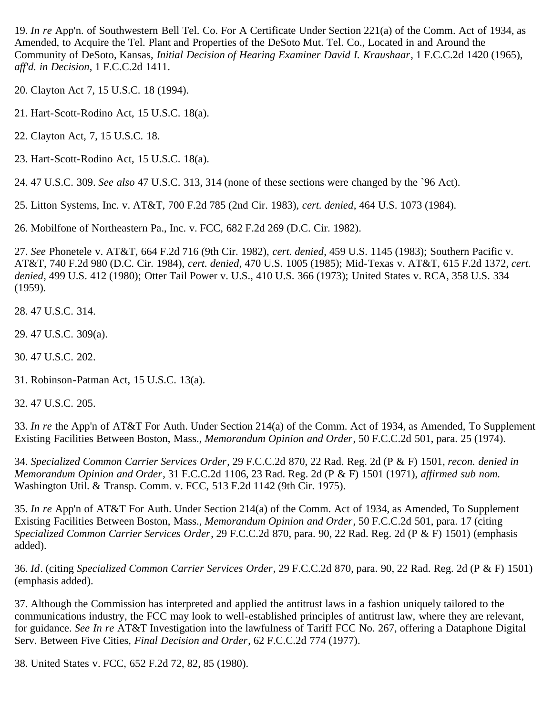<span id="page-8-0"></span>19. *In re* App'n. of Southwestern Bell Tel. Co. For A Certificate Under Section 221(a) of the Comm. Act of 1934, as Amended, to Acquire the Tel. Plant and Properties of the DeSoto Mut. Tel. Co., Located in and Around the Community of DeSoto, Kansas, *Initial Decision of Hearing Examiner David I. Kraushaar*, 1 F.C.C.2d 1420 (1965), *aff'd. in Decision*, 1 F.C.C.2d 1411.

<span id="page-8-1"></span>20. Clayton Act 7, 15 U.S.C. 18 (1994).

<span id="page-8-2"></span>21. Hart-Scott-Rodino Act, 15 U.S.C. 18(a).

<span id="page-8-3"></span>22. Clayton Act, 7, 15 U.S.C. 18.

<span id="page-8-4"></span>23. Hart-Scott-Rodino Act, 15 U.S.C. 18(a).

<span id="page-8-5"></span>24. 47 U.S.C. 309. *See also* 47 U.S.C. 313, 314 (none of these sections were changed by the `96 Act).

<span id="page-8-6"></span>25. Litton Systems, Inc. v. AT&T, 700 F.2d 785 (2nd Cir. 1983), *cert. denied*, 464 U.S. 1073 (1984).

<span id="page-8-7"></span>26. Mobilfone of Northeastern Pa., Inc. v. FCC, 682 F.2d 269 (D.C. Cir. 1982).

<span id="page-8-8"></span>27. *See* Phonetele v. AT&T, 664 F.2d 716 (9th Cir. 1982), *cert. denied*, 459 U.S. 1145 (1983); Southern Pacific v. AT&T, 740 F.2d 980 (D.C. Cir. 1984), *cert. denied*, 470 U.S. 1005 (1985); Mid-Texas v. AT&T, 615 F.2d 1372, *cert. denied*, 499 U.S. 412 (1980); Otter Tail Power v. U.S., 410 U.S. 366 (1973); United States v. RCA, 358 U.S. 334 (1959).

<span id="page-8-9"></span>28. 47 U.S.C. 314.

<span id="page-8-10"></span>29. 47 U.S.C. 309(a).

<span id="page-8-11"></span>30. 47 U.S.C. 202.

<span id="page-8-12"></span>31. Robinson-Patman Act, 15 U.S.C. 13(a).

<span id="page-8-13"></span>32. 47 U.S.C. 205.

<span id="page-8-14"></span>33. *In re* the App'n of AT&T For Auth. Under Section 214(a) of the Comm. Act of 1934, as Amended, To Supplement Existing Facilities Between Boston, Mass., *Memorandum Opinion and Order*, 50 F.C.C.2d 501, para. 25 (1974).

<span id="page-8-15"></span>34. *Specialized Common Carrier Services Order*, 29 F.C.C.2d 870, 22 Rad. Reg. 2d (P & F) 1501, *recon. denied in Memorandum Opinion and Order*, 31 F.C.C.2d 1106, 23 Rad. Reg. 2d (P & F) 1501 (1971), *affirmed sub nom.* Washington Util. & Transp. Comm. v. FCC, 513 F.2d 1142 (9th Cir. 1975).

<span id="page-8-16"></span>35. *In re* App'n of AT&T For Auth. Under Section 214(a) of the Comm. Act of 1934, as Amended, To Supplement Existing Facilities Between Boston, Mass., *Memorandum Opinion and Order*, 50 F.C.C.2d 501, para. 17 (citing *Specialized Common Carrier Services Order*, 29 F.C.C.2d 870, para. 90, 22 Rad. Reg. 2d (P & F) 1501) (emphasis added).

<span id="page-8-17"></span>36. *Id*. (citing *Specialized Common Carrier Services Order*, 29 F.C.C.2d 870, para. 90, 22 Rad. Reg. 2d (P & F) 1501) (emphasis added).

<span id="page-8-18"></span>37. Although the Commission has interpreted and applied the antitrust laws in a fashion uniquely tailored to the communications industry, the FCC may look to well-established principles of antitrust law, where they are relevant, for guidance. *See In re* AT&T Investigation into the lawfulness of Tariff FCC No. 267, offering a Dataphone Digital Serv. Between Five Cities, *Final Decision and Order*, 62 F.C.C.2d 774 (1977).

<span id="page-8-19"></span>38. United States v. FCC, 652 F.2d 72, 82, 85 (1980).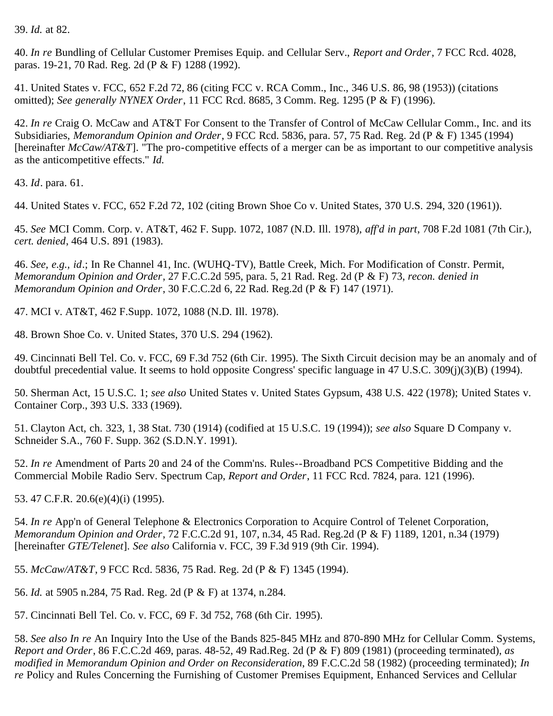<span id="page-9-0"></span>39. *Id.* at 82.

<span id="page-9-1"></span>40. *In re* Bundling of Cellular Customer Premises Equip. and Cellular Serv., *Report and Order*, 7 FCC Rcd. 4028, paras. 19-21, 70 Rad. Reg. 2d (P & F) 1288 (1992).

<span id="page-9-2"></span>41. United States v. FCC, 652 F.2d 72, 86 (citing FCC v. RCA Comm., Inc., 346 U.S. 86, 98 (1953)) (citations omitted); *See generally NYNEX Order*, 11 FCC Rcd. 8685, 3 Comm. Reg. 1295 (P & F) (1996).

<span id="page-9-3"></span>42. *In re* Craig O. McCaw and AT&T For Consent to the Transfer of Control of McCaw Cellular Comm., Inc. and its Subsidiaries, *Memorandum Opinion and Order*, 9 FCC Rcd. 5836, para. 57, 75 Rad. Reg. 2d (P & F) 1345 (1994) [hereinafter *McCaw/AT&T*]. "The pro-competitive effects of a merger can be as important to our competitive analysis as the anticompetitive effects." *Id.*

<span id="page-9-4"></span>43. *Id*. para. 61.

<span id="page-9-5"></span>44. United States v. FCC, 652 F.2d 72, 102 (citing Brown Shoe Co v. United States, 370 U.S. 294, 320 (1961)).

<span id="page-9-6"></span>45. *See* MCI Comm. Corp. v. AT&T, 462 F. Supp. 1072, 1087 (N.D. Ill. 1978), *aff'd in part*, 708 F.2d 1081 (7th Cir.), *cert. denied*, 464 U.S. 891 (1983).

<span id="page-9-7"></span>46. *See, e.g., id*.; In Re Channel 41, Inc. (WUHQ-TV), Battle Creek, Mich. For Modification of Constr. Permit, *Memorandum Opinion and Order*, 27 F.C.C.2d 595, para. 5, 21 Rad. Reg. 2d (P & F) 73, *recon. denied in Memorandum Opinion and Order*, 30 F.C.C.2d 6, 22 Rad. Reg.2d (P & F) 147 (1971).

<span id="page-9-8"></span>47. MCI v. AT&T, 462 F.Supp. 1072, 1088 (N.D. Ill. 1978).

<span id="page-9-9"></span>48. Brown Shoe Co. v. United States, 370 U.S. 294 (1962).

<span id="page-9-10"></span>49. Cincinnati Bell Tel. Co. v. FCC, 69 F.3d 752 (6th Cir. 1995). The Sixth Circuit decision may be an anomaly and of doubtful precedential value. It seems to hold opposite Congress' specific language in 47 U.S.C. 309(j)(3)(B) (1994).

<span id="page-9-11"></span>50. Sherman Act, 15 U.S.C. 1; *see also* United States v. United States Gypsum, 438 U.S. 422 (1978); United States v. Container Corp., 393 U.S. 333 (1969).

<span id="page-9-12"></span>51. Clayton Act, ch. 323, 1, 38 Stat. 730 (1914) (codified at 15 U.S.C. 19 (1994)); *see also* Square D Company v. Schneider S.A., 760 F. Supp. 362 (S.D.N.Y. 1991).

<span id="page-9-13"></span>52. *In re* Amendment of Parts 20 and 24 of the Comm'ns. Rules--Broadband PCS Competitive Bidding and the Commercial Mobile Radio Serv. Spectrum Cap, *Report and Order*, 11 FCC Rcd. 7824, para. 121 (1996).

<span id="page-9-14"></span>53. 47 C.F.R. 20.6(e)(4)(i) (1995).

<span id="page-9-15"></span>54. *In re* App'n of General Telephone & Electronics Corporation to Acquire Control of Telenet Corporation, *Memorandum Opinion and Order*, 72 F.C.C.2d 91, 107, n.34, 45 Rad. Reg.2d (P & F) 1189, 1201, n.34 (1979) [hereinafter *GTE/Telenet*]. *See also* California v. FCC, 39 F.3d 919 (9th Cir. 1994).

<span id="page-9-16"></span>55. *McCaw/AT&T*, 9 FCC Rcd. 5836, 75 Rad. Reg. 2d (P & F) 1345 (1994).

<span id="page-9-17"></span>56. *Id.* at 5905 n.284, 75 Rad. Reg. 2d (P & F) at 1374, n.284.

<span id="page-9-18"></span>57. Cincinnati Bell Tel. Co. v. FCC, 69 F. 3d 752, 768 (6th Cir. 1995).

<span id="page-9-19"></span>58. *See also In re* An Inquiry Into the Use of the Bands 825-845 MHz and 870-890 MHz for Cellular Comm. Systems, *Report and Order*, 86 F.C.C.2d 469, paras. 48-52, 49 Rad.Reg. 2d (P & F) 809 (1981) (proceeding terminated), *as modified in Memorandum Opinion and Order on Reconsideration*, 89 F.C.C.2d 58 (1982) (proceeding terminated); *In re* Policy and Rules Concerning the Furnishing of Customer Premises Equipment, Enhanced Services and Cellular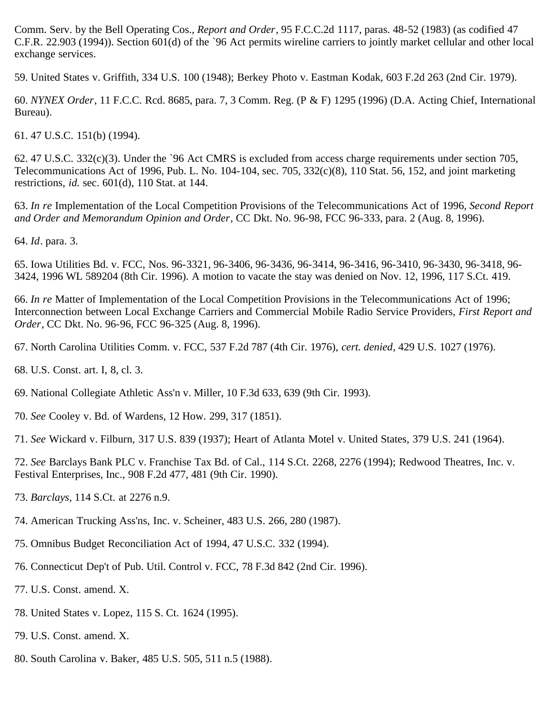Comm. Serv. by the Bell Operating Cos., *Report and Order*, 95 F.C.C.2d 1117, paras. 48-52 (1983) (as codified 47 C.F.R. 22.903 (1994)). Section 601(d) of the `96 Act permits wireline carriers to jointly market cellular and other local exchange services.

<span id="page-10-0"></span>59. United States v. Griffith, 334 U.S. 100 (1948); Berkey Photo v. Eastman Kodak, 603 F.2d 263 (2nd Cir. 1979).

<span id="page-10-1"></span>60. *NYNEX Order*, 11 F.C.C. Rcd. 8685, para. 7, 3 Comm. Reg. (P & F) 1295 (1996) (D.A. Acting Chief, International Bureau).

<span id="page-10-2"></span>61. 47 U.S.C. 151(b) (1994).

<span id="page-10-3"></span>62. 47 U.S.C. 332(c)(3). Under the `96 Act CMRS is excluded from access charge requirements under section 705, Telecommunications Act of 1996, Pub. L. No. 104-104, sec. 705, 332(c)(8), 110 Stat. 56, 152, and joint marketing restrictions, *id.* sec. 601(d), 110 Stat. at 144.

<span id="page-10-4"></span>63. *In re* Implementation of the Local Competition Provisions of the Telecommunications Act of 1996, *Second Report and Order and Memorandum Opinion and Order*, CC Dkt. No. 96-98, FCC 96-333, para. 2 (Aug. 8, 1996).

<span id="page-10-5"></span>64. *Id*. para. 3.

<span id="page-10-6"></span>65. Iowa Utilities Bd. v. FCC, Nos. 96-3321, 96-3406, 96-3436, 96-3414, 96-3416, 96-3410, 96-3430, 96-3418, 96- 3424, 1996 WL 589204 (8th Cir. 1996). A motion to vacate the stay was denied on Nov. 12, 1996, 117 S.Ct. 419.

<span id="page-10-7"></span>66. *In re* Matter of Implementation of the Local Competition Provisions in the Telecommunications Act of 1996; Interconnection between Local Exchange Carriers and Commercial Mobile Radio Service Providers, *First Report and Order*, CC Dkt. No. 96-96, FCC 96-325 (Aug. 8, 1996).

<span id="page-10-8"></span>67. North Carolina Utilities Comm. v. FCC, 537 F.2d 787 (4th Cir. 1976), *cert. denied*, 429 U.S. 1027 (1976).

<span id="page-10-9"></span>68. U.S. Const. art. I, 8, cl. 3.

<span id="page-10-10"></span>69. National Collegiate Athletic Ass'n v. Miller, 10 F.3d 633, 639 (9th Cir. 1993).

<span id="page-10-11"></span>70. *See* Cooley v. Bd. of Wardens, 12 How. 299, 317 (1851).

<span id="page-10-12"></span>71. *See* Wickard v. Filburn, 317 U.S. 839 (1937); Heart of Atlanta Motel v. United States, 379 U.S. 241 (1964).

<span id="page-10-13"></span>72. *See* Barclays Bank PLC v. Franchise Tax Bd. of Cal., 114 S.Ct. 2268, 2276 (1994); Redwood Theatres, Inc. v. Festival Enterprises, Inc., 908 F.2d 477, 481 (9th Cir. 1990).

<span id="page-10-14"></span>73. *Barclays*, 114 S.Ct. at 2276 n.9.

<span id="page-10-15"></span>74. American Trucking Ass'ns, Inc. v. Scheiner, 483 U.S. 266, 280 (1987).

- <span id="page-10-16"></span>75. Omnibus Budget Reconciliation Act of 1994, 47 U.S.C. 332 (1994).
- <span id="page-10-17"></span>76. Connecticut Dep't of Pub. Util. Control v. FCC, 78 F.3d 842 (2nd Cir. 1996).
- <span id="page-10-18"></span>77. U.S. Const. amend. X.
- <span id="page-10-19"></span>78. United States v. Lopez, 115 S. Ct. 1624 (1995).
- <span id="page-10-20"></span>79. U.S. Const. amend. X.
- <span id="page-10-21"></span>80. South Carolina v. Baker, 485 U.S. 505, 511 n.5 (1988).